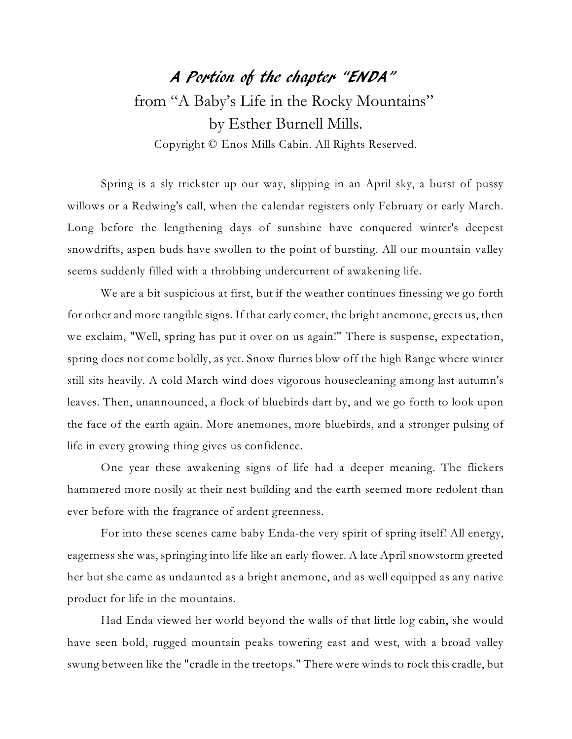## A Portion of the chapter "ENDA" from "A Baby's Life in the Rocky Mountains" by Esther Burnell Mills. Copyright © Enos Mills Cabin. All Rights Reserved.

Spring is a sly trickster up our way, slipping in an April sky, a burst of pussy willows or a Redwing's call, when the calendar registers only February or early March. Long before the lengthening days of sunshine have conquered winter's deepest snowdrifts, aspen buds have swollen to the point of bursting. All our mountain valley seems suddenly filled with a throbbing undercurrent of awakening life.

We are a bit suspicious at first, but if the weather continues finessing we go forth for other and more tangible signs. If that early comer, the bright anemone, greets us, then we exclaim, "Well, spring has put it over on us again!" There is suspense, expectation, spring does not come boldly, as yet. Snow flurries blow off the high Range where winter still sits heavily. A cold March wind does vigorous housecleaning among last autumn's leaves. Then, unannounced, a flock of bluebirds dart by, and we go forth to look upon the face of the earth again. More anemones, more bluebirds, and a stronger pulsing of life in every growing thing gives us confidence.

One year these awakening signs of life had a deeper meaning. The flickers hammered more nosily at their nest building and the earth seemed more redolent than ever before with the fragrance of ardent greenness.

For into these scenes came baby Enda-the very spirit of spring itself! All energy, eagerness she was, springing into life like an early flower. A late April snowstorm greeted her but she came as undaunted as a bright anemone, and as well equipped as any native product for life in the mountains.

Had Enda viewed her world beyond the walls of that little log cabin, she would have seen bold, rugged mountain peaks towering east and west, with a broad valley swung between like the "cradle in the treetops." There were winds to rock this cradle, but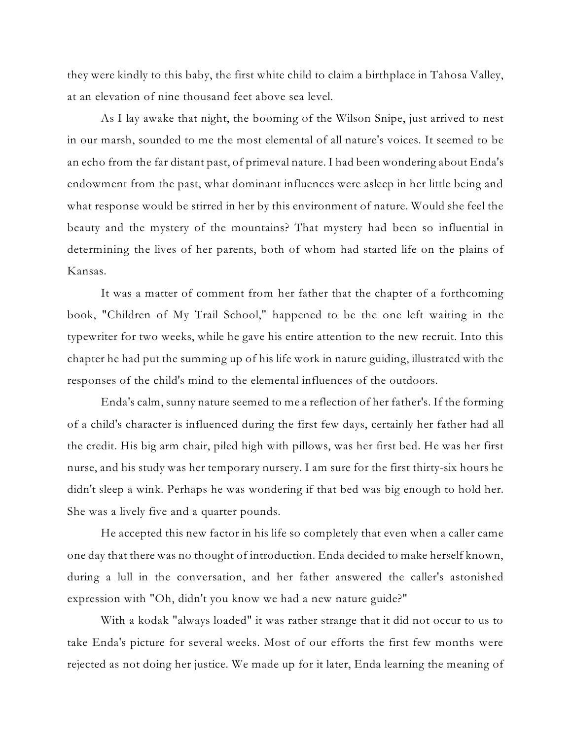they were kindly to this baby, the first white child to claim a birthplace in Tahosa Valley, at an elevation of nine thousand feet above sea level.

As I lay awake that night, the booming of the Wilson Snipe, just arrived to nest in our marsh, sounded to me the most elemental of all nature's voices. It seemed to be an echo from the far distant past, of primeval nature. I had been wondering about Enda's endowment from the past, what dominant influences were asleep in her little being and what response would be stirred in her by this environment of nature. Would she feel the beauty and the mystery of the mountains? That mystery had been so influential in determining the lives of her parents, both of whom had started life on the plains of Kansas.

It was a matter of comment from her father that the chapter of a forthcoming book, "Children of My Trail School," happened to be the one left waiting in the typewriter for two weeks, while he gave his entire attention to the new recruit. Into this chapter he had put the summing up of his life work in nature guiding, illustrated with the responses of the child's mind to the elemental influences of the outdoors.

Enda's calm, sunny nature seemed to me a reflection of her father's. If the forming of a child's character is influenced during the first few days, certainly her father had all the credit. His big arm chair, piled high with pillows, was her first bed. He was her first nurse, and his study was her temporary nursery. I am sure for the first thirty-six hours he didn't sleep a wink. Perhaps he was wondering if that bed was big enough to hold her. She was a lively five and a quarter pounds.

He accepted this new factor in his life so completely that even when a caller came one day that there was no thought of introduction. Enda decided to make herself known, during a lull in the conversation, and her father answered the caller's astonished expression with "Oh, didn't you know we had a new nature guide?"

With a kodak "always loaded" it was rather strange that it did not occur to us to take Enda's picture for several weeks. Most of our efforts the first few months were rejected as not doing her justice. We made up for it later, Enda learning the meaning of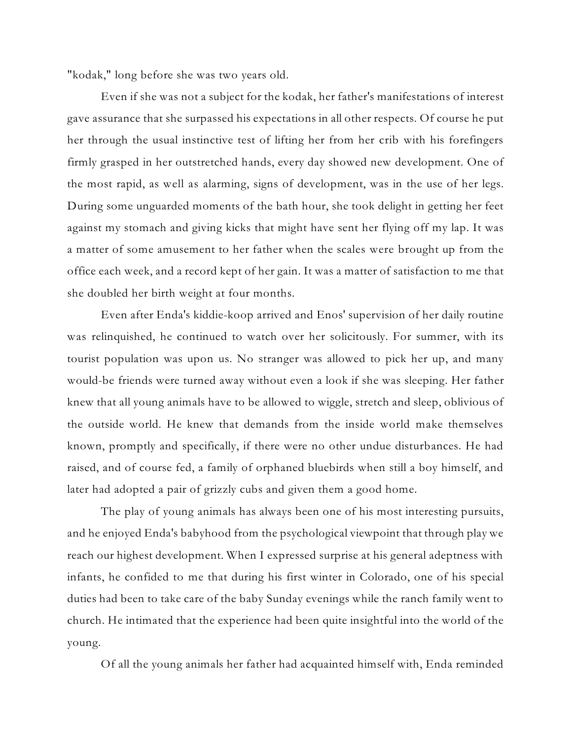"kodak," long before she was two years old.

Even if she was not a subject for the kodak, her father's manifestations of interest gave assurance that she surpassed his expectations in all other respects. Of course he put her through the usual instinctive test of lifting her from her crib with his forefingers firmly grasped in her outstretched hands, every day showed new development. One of the most rapid, as well as alarming, signs of development, was in the use of her legs. During some unguarded moments of the bath hour, she took delight in getting her feet against my stomach and giving kicks that might have sent her flying off my lap. It was a matter of some amusement to her father when the scales were brought up from the office each week, and a record kept of her gain. It was a matter of satisfaction to me that she doubled her birth weight at four months.

Even after Enda's kiddie-koop arrived and Enos' supervision of her daily routine was relinquished, he continued to watch over her solicitously. For summer, with its tourist population was upon us. No stranger was allowed to pick her up, and many would-be friends were turned away without even a look if she was sleeping. Her father knew that all young animals have to be allowed to wiggle, stretch and sleep, oblivious of the outside world. He knew that demands from the inside world make themselves known, promptly and specifically, if there were no other undue disturbances. He had raised, and of course fed, a family of orphaned bluebirds when still a boy himself, and later had adopted a pair of grizzly cubs and given them a good home.

The play of young animals has always been one of his most interesting pursuits, and he enjoyed Enda's babyhood from the psychological viewpoint that through play we reach our highest development. When I expressed surprise at his general adeptness with infants, he confided to me that during his first winter in Colorado, one of his special duties had been to take care of the baby Sunday evenings while the ranch family went to church. He intimated that the experience had been quite insightful into the world of the young.

Of all the young animals her father had acquainted himself with, Enda reminded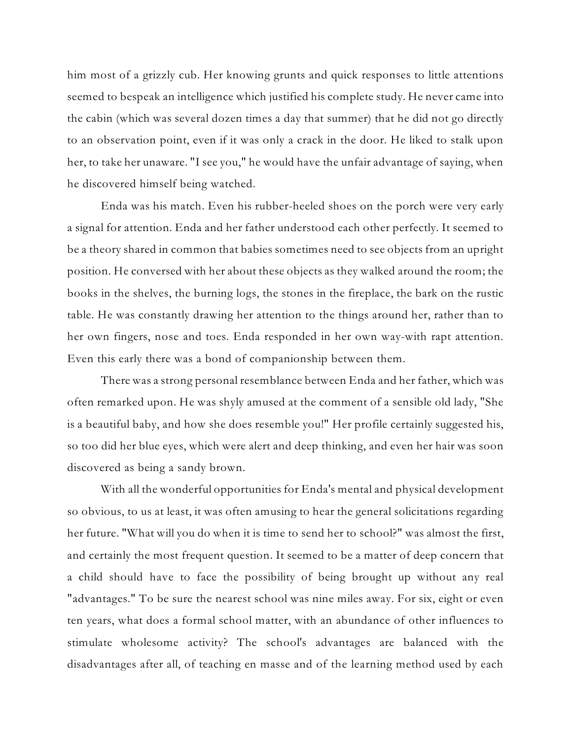him most of a grizzly cub. Her knowing grunts and quick responses to little attentions seemed to bespeak an intelligence which justified his complete study. He never came into the cabin (which was several dozen times a day that summer) that he did not go directly to an observation point, even if it was only a crack in the door. He liked to stalk upon her, to take her unaware. "I see you," he would have the unfair advantage of saying, when he discovered himself being watched.

Enda was his match. Even his rubber-heeled shoes on the porch were very early a signal for attention. Enda and her father understood each other perfectly. It seemed to be a theory shared in common that babies sometimes need to see objects from an upright position. He conversed with her about these objects as they walked around the room; the books in the shelves, the burning logs, the stones in the fireplace, the bark on the rustic table. He was constantly drawing her attention to the things around her, rather than to her own fingers, nose and toes. Enda responded in her own way-with rapt attention. Even this early there was a bond of companionship between them.

There was a strong personal resemblance between Enda and her father, which was often remarked upon. He was shyly amused at the comment of a sensible old lady, "She is a beautiful baby, and how she does resemble you!" Her profile certainly suggested his, so too did her blue eyes, which were alert and deep thinking, and even her hair was soon discovered as being a sandy brown.

With all the wonderful opportunities for Enda's mental and physical development so obvious, to us at least, it was often amusing to hear the general solicitations regarding her future. "What will you do when it is time to send her to school?" was almost the first, and certainly the most frequent question. It seemed to be a matter of deep concern that a child should have to face the possibility of being brought up without any real "advantages." To be sure the nearest school was nine miles away. For six, eight or even ten years, what does a formal school matter, with an abundance of other influences to stimulate wholesome activity? The school's advantages are balanced with the disadvantages after all, of teaching en masse and of the learning method used by each